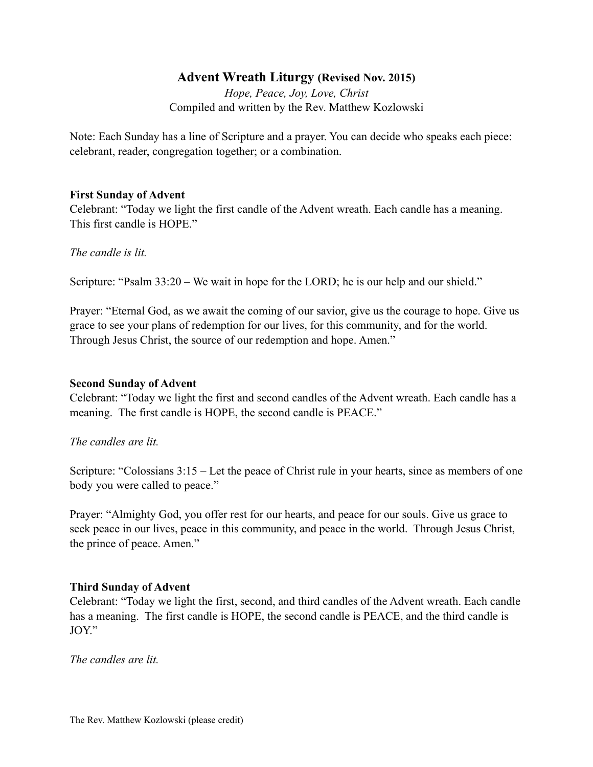# **Advent Wreath Liturgy (Revised Nov. 2015)**

*Hope, Peace, Joy, Love, Christ*  Compiled and written by the Rev. Matthew Kozlowski

Note: Each Sunday has a line of Scripture and a prayer. You can decide who speaks each piece: celebrant, reader, congregation together; or a combination.

### **First Sunday of Advent**

Celebrant: "Today we light the first candle of the Advent wreath. Each candle has a meaning. This first candle is HOPE."

*The candle is lit.* 

Scripture: "Psalm 33:20 – We wait in hope for the LORD; he is our help and our shield."

Prayer: "Eternal God, as we await the coming of our savior, give us the courage to hope. Give us grace to see your plans of redemption for our lives, for this community, and for the world. Through Jesus Christ, the source of our redemption and hope. Amen."

#### **Second Sunday of Advent**

Celebrant: "Today we light the first and second candles of the Advent wreath. Each candle has a meaning. The first candle is HOPE, the second candle is PEACE."

### *The candles are lit.*

Scripture: "Colossians 3:15 – Let the peace of Christ rule in your hearts, since as members of one body you were called to peace."

Prayer: "Almighty God, you offer rest for our hearts, and peace for our souls. Give us grace to seek peace in our lives, peace in this community, and peace in the world. Through Jesus Christ, the prince of peace. Amen."

### **Third Sunday of Advent**

Celebrant: "Today we light the first, second, and third candles of the Advent wreath. Each candle has a meaning. The first candle is HOPE, the second candle is PEACE, and the third candle is JOY"

*The candles are lit.*